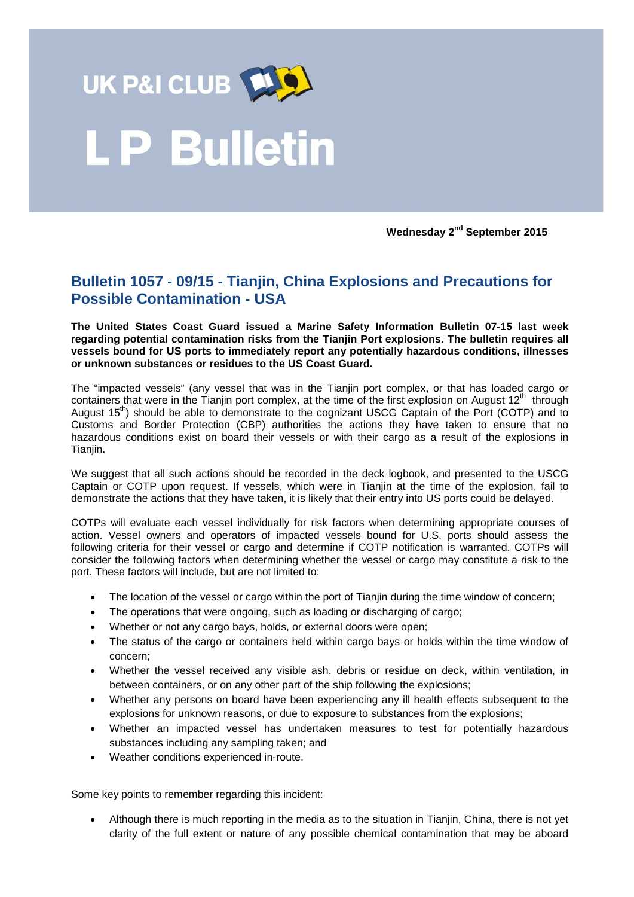

## **LP Bulletin**

**Wednesday 2nd September 2015**

## **Bulletin 1057 - 09/15 - Tianjin, China Explosions and Precautions for Possible Contamination - USA**

**The United States Coast Guard issued a Marine Safety Information Bulletin 07-15 last week regarding potential contamination risks from the Tianjin Port explosions. The bulletin requires all vessels bound for US ports to immediately report any potentially hazardous conditions, illnesses or unknown substances or residues to the US Coast Guard.** 

The "impacted vessels" (any vessel that was in the Tianjin port complex, or that has loaded cargo or containers that were in the Tianjin port complex, at the time of the first explosion on August  $12<sup>th</sup>$  through August  $15<sup>th</sup>$ ) should be able to demonstrate to the cognizant USCG Captain of the Port (COTP) and to Customs and Border Protection (CBP) authorities the actions they have taken to ensure that no hazardous conditions exist on board their vessels or with their cargo as a result of the explosions in Tianjin.

We suggest that all such actions should be recorded in the deck logbook, and presented to the USCG Captain or COTP upon request. If vessels, which were in Tianjin at the time of the explosion, fail to demonstrate the actions that they have taken, it is likely that their entry into US ports could be delayed.

COTPs will evaluate each vessel individually for risk factors when determining appropriate courses of action. Vessel owners and operators of impacted vessels bound for U.S. ports should assess the following criteria for their vessel or cargo and determine if COTP notification is warranted. COTPs will consider the following factors when determining whether the vessel or cargo may constitute a risk to the port. These factors will include, but are not limited to:

- The location of the vessel or cargo within the port of Tianjin during the time window of concern;
- The operations that were ongoing, such as loading or discharging of cargo;
- Whether or not any cargo bays, holds, or external doors were open;
- The status of the cargo or containers held within cargo bays or holds within the time window of concern;
- Whether the vessel received any visible ash, debris or residue on deck, within ventilation, in between containers, or on any other part of the ship following the explosions;
- Whether any persons on board have been experiencing any ill health effects subsequent to the explosions for unknown reasons, or due to exposure to substances from the explosions;
- Whether an impacted vessel has undertaken measures to test for potentially hazardous substances including any sampling taken; and
- Weather conditions experienced in-route.

Some key points to remember regarding this incident:

• Although there is much reporting in the media as to the situation in Tianjin, China, there is not yet clarity of the full extent or nature of any possible chemical contamination that may be aboard